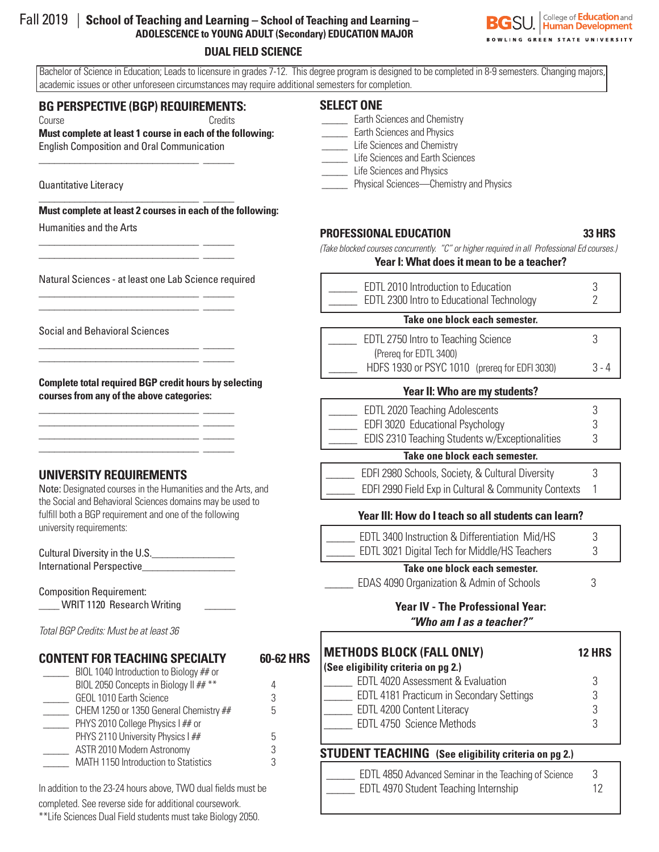# Fall 2019 | **School of Teaching and Learning – School of Teaching and Learning – ADOLESCENCE to YOUNG ADULT (Secondary) EDUCATION MAJOR**

#### **DUAL FIELD SCIENCE**

**SU.** College of **Education** and .<br>NLING GREEN STATE UNIVERSITY

 Bachelor of Science in Education; Leads to licensure in grades 7-12. This degree program is designed to be completed in 8-9 semesters. Changing majors, academic issues or other unforeseen circumstances may require additional semesters for completion.

## **BG PERSPECTIVE (BGP) REQUIREMENTS:**

\_\_\_\_\_\_\_\_\_\_\_\_\_\_\_\_\_\_\_\_\_\_\_\_\_\_\_\_\_\_\_ \_\_\_\_\_\_

\_\_\_\_\_\_\_\_\_\_\_\_\_\_\_\_\_\_\_\_\_\_\_\_\_\_\_\_\_\_\_ \_\_\_\_\_\_

\_\_\_\_\_\_\_\_\_\_\_\_\_\_\_\_\_\_\_\_\_\_\_\_\_\_\_\_\_\_\_ \_\_\_\_\_\_ \_\_\_\_\_\_\_\_\_\_\_\_\_\_\_\_\_\_\_\_\_\_\_\_\_\_\_\_\_\_\_ \_\_\_\_\_\_

\_\_\_\_\_\_\_\_\_\_\_\_\_\_\_\_\_\_\_\_\_\_\_\_\_\_\_\_\_\_\_ \_\_\_\_\_\_ \_\_\_\_\_\_\_\_\_\_\_\_\_\_\_\_\_\_\_\_\_\_\_\_\_\_\_\_\_\_\_ \_\_\_\_\_\_

\_\_\_\_\_\_\_\_\_\_\_\_\_\_\_\_\_\_\_\_\_\_\_\_\_\_\_\_\_\_\_ \_\_\_\_\_\_ \_\_\_\_\_\_\_\_\_\_\_\_\_\_\_\_\_\_\_\_\_\_\_\_\_\_\_\_\_\_\_ \_\_\_\_\_\_

\_\_\_\_\_\_\_\_\_\_\_\_\_\_\_\_\_\_\_\_\_\_\_\_\_\_\_\_\_\_\_ \_\_\_\_\_\_ \_\_\_\_\_\_\_\_\_\_\_\_\_\_\_\_\_\_\_\_\_\_\_\_\_\_\_\_\_\_\_ \_\_\_\_\_\_ \_\_\_\_\_\_\_\_\_\_\_\_\_\_\_\_\_\_\_\_\_\_\_\_\_\_\_\_\_\_\_ \_\_\_\_\_\_ \_\_\_\_\_\_\_\_\_\_\_\_\_\_\_\_\_\_\_\_\_\_\_\_\_\_\_\_\_\_\_ \_\_\_\_\_\_

Course Credits **Must complete at least 1 course in each of the following:**  English Composition and Oral Communication

Quantitative Literacy

**Must complete at least 2 courses in each of the following:**

Humanities and the Arts

Natural Sciences - at least one Lab Science required

Social and Behavioral Sciences

**Complete total required BGP credit hours by selecting courses from any of the above categories:**

### **UNIVERSITY REQUIREMENTS**

Note: Designated courses in the Humanities and the Arts, and the Social and Behavioral Sciences domains may be used to fulfill both a BGP requirement and one of the following university requirements:

Cultural Diversity in the U.S. International Perspective\_\_\_\_\_\_\_\_\_\_\_\_\_\_\_\_\_\_

Composition Requirement: WRIT 1120 Research Writing

*Total BGP Credits: Must be at least 36*

### **CONTENT FOR TEACHING SPECIALTY 60-62 HRS**

| BIOL 1040 Introduction to Biology ## or |   |
|-----------------------------------------|---|
| BIOL 2050 Concepts in Biology II ## **  |   |
| GEOL 1010 Earth Science                 | 3 |
| CHEM 1250 or 1350 General Chemistry ##  | 5 |
| PHYS 2010 College Physics I ## or       |   |
| PHYS 2110 University Physics I ##       | h |
| ASTR 2010 Modern Astronomy              | २ |
| MATH 1150 Introduction to Statistics    |   |

In addition to the 23-24 hours above, TWO dual fields must be completed. See reverse side for additional coursework. \*\*Life Sciences Dual Field students must take Biology 2050.

### **SELECT ONE**

- **Earth Sciences and Chemistry**
- **Earth Sciences and Physics**
- Life Sciences and Chemistry
- \_\_\_\_\_ Life Sciences and Earth Sciences
- Life Sciences and Physics **EXECUTE:** Physical Sciences—Chemistry and Physics
- 

#### **PROFESSIONAL EDUCATION 33 HRS**

*(Take blocked courses concurrently. "C" or higher required in all Professional Ed courses.)*

#### **Year I: What does it mean to be a teacher?**

| EDTL 2010 Introduction to Education<br>EDTL 2300 Intro to Educational Technology |  |
|----------------------------------------------------------------------------------|--|
|                                                                                  |  |

#### **Take one block each semester.**

| EDTL 2750 Intro to Teaching Science           |         |
|-----------------------------------------------|---------|
| (Prereq for EDTL 3400)                        |         |
| HDFS 1930 or PSYC 1010 (prereq for EDFI 3030) | $3 - 4$ |

#### **Year II: Who are my students?**

| EDTL 2020 Teaching Adolescents                 |  |
|------------------------------------------------|--|
| EDFI 3020 Educational Psychology               |  |
| EDIS 2310 Teaching Students w/Exceptionalities |  |

#### **Take one block each semester.**

| EDFI 2980 Schools, Society, & Cultural Diversity     |  |
|------------------------------------------------------|--|
| EDFI 2990 Field Exp in Cultural & Community Contexts |  |

### **Year III: How do I teach so all students can learn?**

| EDTL 3400 Instruction & Differentiation Mid/HS |  |
|------------------------------------------------|--|
| EDTL 3021 Digital Tech for Middle/HS Teachers  |  |

#### **Take one block each semester.**

| EDAS 4090 Organization & Admin of Schools | 3 |
|-------------------------------------------|---|
|-------------------------------------------|---|

#### **Year IV - The Professional Year:** *"Who am I as a teacher?"*

| METHODS BLOCK (FALL ONLY)                                                                                                                                                        | <b>12 HRS</b>    |
|----------------------------------------------------------------------------------------------------------------------------------------------------------------------------------|------------------|
| (See eligibility criteria on pg 2.)<br>EDTL 4020 Assessment & Evaluation<br>EDTL 4181 Practicum in Secondary Settings<br>EDTL 4200 Content Literacy<br>EDTL 4750 Science Methods | 3<br>3<br>3<br>3 |
| <b>STUDENT TEACHING</b> (See eligibility criteria on pg 2.)<br>EDTL 4850 Advanced Seminar in the Teaching of Science                                                             |                  |

\_\_\_\_\_ EDTL 4970 Student Teaching Internship 12